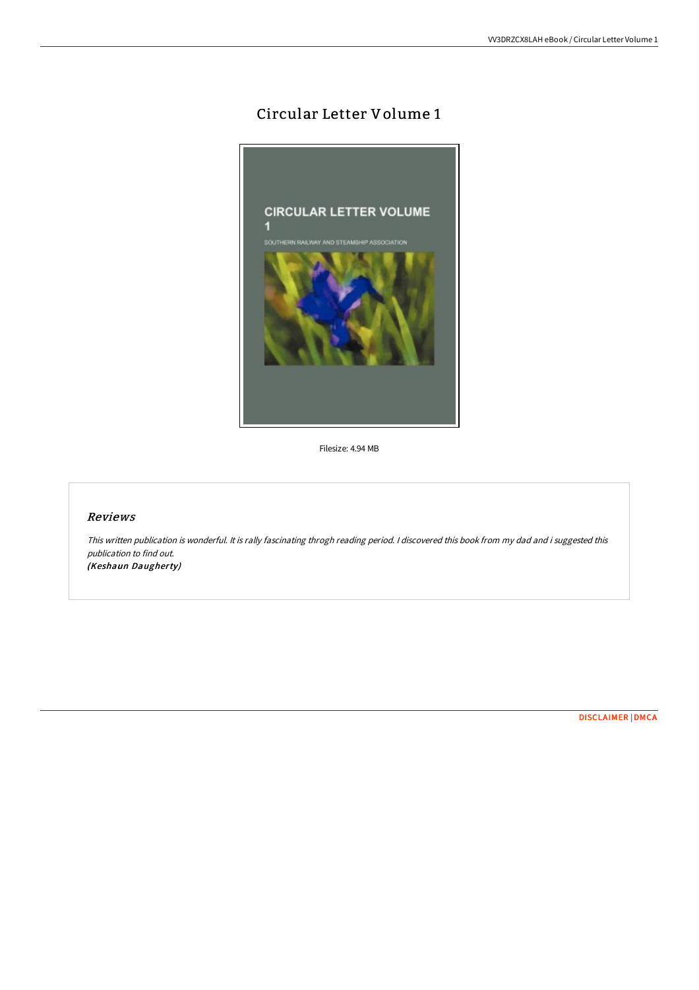## Circular Letter Volume 1



Filesize: 4.94 MB

## Reviews

This written publication is wonderful. It is rally fascinating throgh reading period. <sup>I</sup> discovered this book from my dad and i suggested this publication to find out. (Keshaun Daugherty)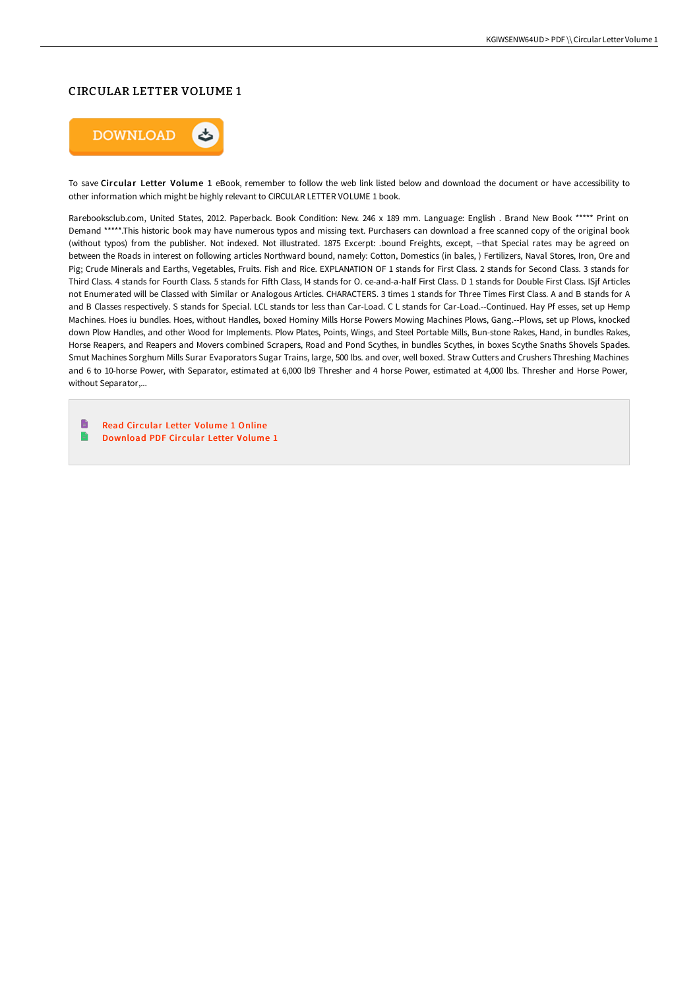## CIRCULAR LETTER VOLUME 1



To save Circular Letter Volume 1 eBook, remember to follow the web link listed below and download the document or have accessibility to other information which might be highly relevant to CIRCULAR LETTER VOLUME 1 book.

Rarebooksclub.com, United States, 2012. Paperback. Book Condition: New. 246 x 189 mm. Language: English . Brand New Book \*\*\*\*\* Print on Demand \*\*\*\*\*.This historic book may have numerous typos and missing text. Purchasers can download a free scanned copy of the original book (without typos) from the publisher. Not indexed. Not illustrated. 1875 Excerpt: .bound Freights, except, --that Special rates may be agreed on between the Roads in interest on following articles Northward bound, namely: Cotton, Domestics (in bales, ) Fertilizers, Naval Stores, Iron, Ore and Pig; Crude Minerals and Earths, Vegetables, Fruits. Fish and Rice. EXPLANATION OF 1 stands for First Class. 2 stands for Second Class. 3 stands for Third Class. 4 stands for Fourth Class. 5 stands for Fifth Class, I4 stands for O. ce-and-a-half First Class. D 1 stands for Double First Class. ISjf Articles not Enumerated will be Classed with Similar or Analogous Articles. CHARACTERS. 3 times 1 stands for Three Times First Class. A and B stands for A and B Classes respectively. S stands for Special. LCL stands tor less than Car-Load. C L stands for Car-Load.--Continued. Hay Pf esses, set up Hemp Machines. Hoes iu bundles. Hoes, without Handles, boxed Hominy Mills Horse Powers Mowing Machines Plows, Gang.--Plows, set up Plows, knocked down Plow Handles, and other Wood for Implements. Plow Plates, Points, Wings, and Steel Portable Mills, Bun-stone Rakes, Hand, in bundles Rakes, Horse Reapers, and Reapers and Movers combined Scrapers, Road and Pond Scythes, in bundles Scythes, in boxes Scythe Snaths Shovels Spades. Smut Machines Sorghum Mills Surar Evaporators Sugar Trains, large, 500 lbs. and over, well boxed. Straw Cutters and Crushers Threshing Machines and 6 to 10-horse Power, with Separator, estimated at 6,000 lb9 Thresher and 4 horse Power, estimated at 4,000 lbs. Thresher and Horse Power, without Separator,...

**D** Read Circular Letter [Volume](http://digilib.live/circular-letter-volume-1-paperback.html) 1 Online  $\blacksquare$ [Download](http://digilib.live/circular-letter-volume-1-paperback.html) PDF Circular Letter Volume 1